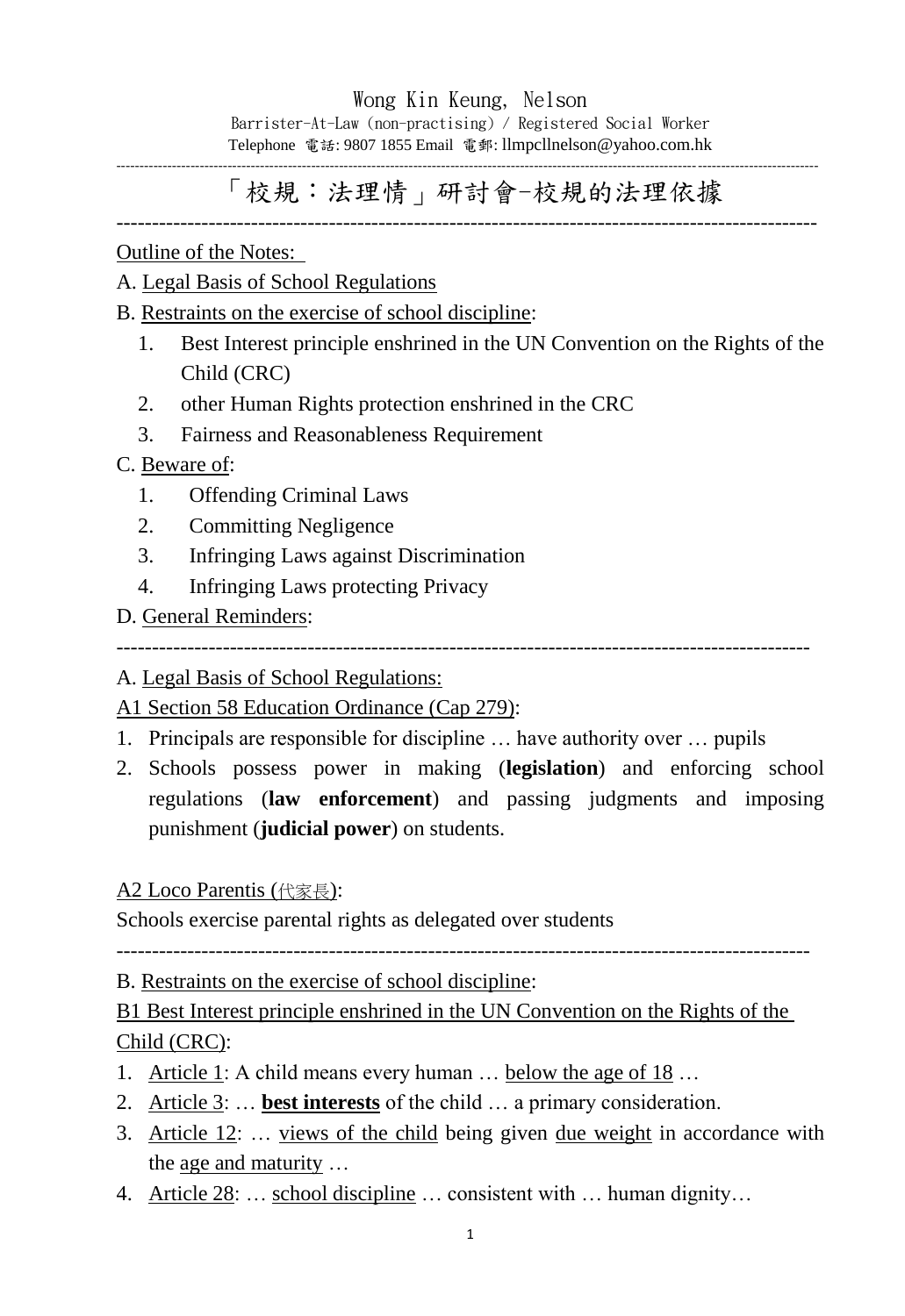## Wong Kin Keung, Nelson

Barrister-At-Law (non-practising) / Registered Social Worker Telephone 電話: 9807 1855 Email 電郵: llmpcllnelson@yahoo.com.hk

-------------------------------------------------------------------------------------------------------------------------------------------------------

# 「校規:法理情」研討會-校規的法理依據

---------------------------------------------------------------------------------------------------

Outline of the Notes:

### A. Legal Basis of School Regulations

- B. Restraints on the exercise of school discipline:
	- 1. Best Interest principle enshrined in the UN Convention on the Rights of the Child (CRC)
	- 2. other Human Rights protection enshrined in the CRC
	- 3. Fairness and Reasonableness Requirement

### C. Beware of:

- 1. Offending Criminal Laws
- 2. Committing Negligence
- 3. Infringing Laws against Discrimination
- 4. Infringing Laws protecting Privacy
- D. General Reminders:

--------------------------------------------------------------------------------------------------

A. Legal Basis of School Regulations:

A1 Section 58 Education Ordinance (Cap 279):

- 1. Principals are responsible for discipline … have authority over … pupils
- 2. Schools possess power in making (**legislation**) and enforcing school regulations (**law enforcement**) and passing judgments and imposing punishment (**judicial power**) on students.

#### A2 Loco Parentis (代家長):

Schools exercise parental rights as delegated over students

--------------------------------------------------------------------------------------------------

B. Restraints on the exercise of school discipline:

# B1 Best Interest principle enshrined in the UN Convention on the Rights of the Child (CRC):

- 1. Article 1: A child means every human … below the age of 18 …
- 2. Article 3: … **best interests** of the child … a primary consideration.
- 3. Article 12: … views of the child being given due weight in accordance with the age and maturity …
- 4. Article 28: … school discipline … consistent with … human dignity…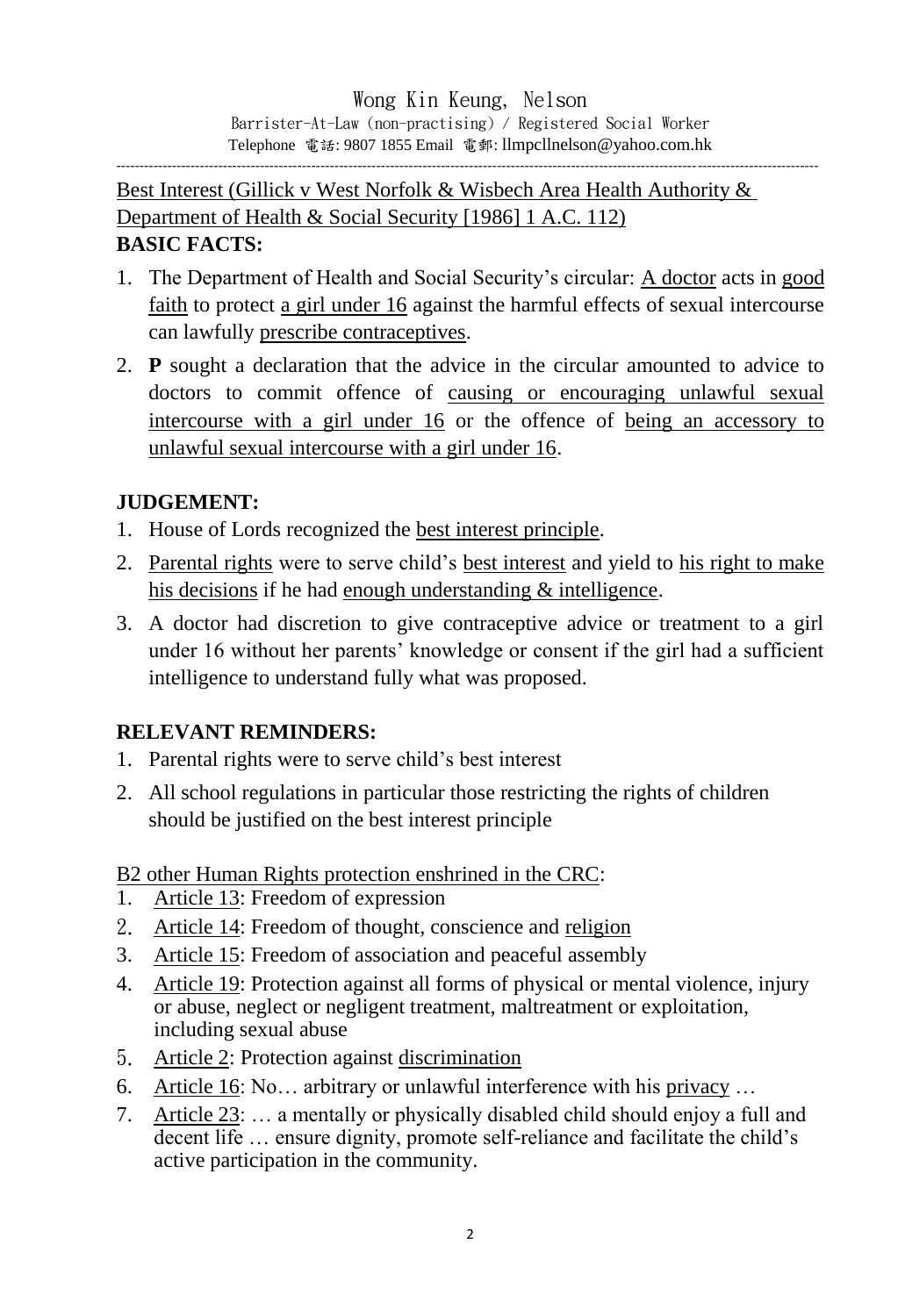Best Interest (Gillick v West Norfolk & Wisbech Area Health Authority & Department of Health & Social Security [1986] 1 A.C. 112) **BASIC FACTS:**

- 1. The Department of Health and Social Security's circular: A doctor acts in good faith to protect a girl under 16 against the harmful effects of sexual intercourse can lawfully prescribe contraceptives.
- 2. **P** sought a declaration that the advice in the circular amounted to advice to doctors to commit offence of causing or encouraging unlawful sexual intercourse with a girl under 16 or the offence of being an accessory to unlawful sexual intercourse with a girl under 16.

## **JUDGEMENT:**

- 1. House of Lords recognized the best interest principle.
- 2. Parental rights were to serve child's best interest and yield to his right to make his decisions if he had enough understanding & intelligence.
- 3. A doctor had discretion to give contraceptive advice or treatment to a girl under 16 without her parents' knowledge or consent if the girl had a sufficient intelligence to understand fully what was proposed.

### **RELEVANT REMINDERS:**

- 1. Parental rights were to serve child's best interest
- 2. All school regulations in particular those restricting the rights of children should be justified on the best interest principle

### B2 other Human Rights protection enshrined in the CRC:

- 1. Article 13: Freedom of expression
- 2. Article 14: Freedom of thought, conscience and religion
- 3. Article 15: Freedom of association and peaceful assembly
- 4. Article 19: Protection against all forms of physical or mental violence, injury or abuse, neglect or negligent treatment, maltreatment or exploitation, including sexual abuse
- 5. Article 2: Protection against discrimination
- 6. Article 16: No… arbitrary or unlawful interference with his privacy …
- 7. Article 23: … a mentally or physically disabled child should enjoy a full and decent life … ensure dignity, promote self-reliance and facilitate the child's active participation in the community.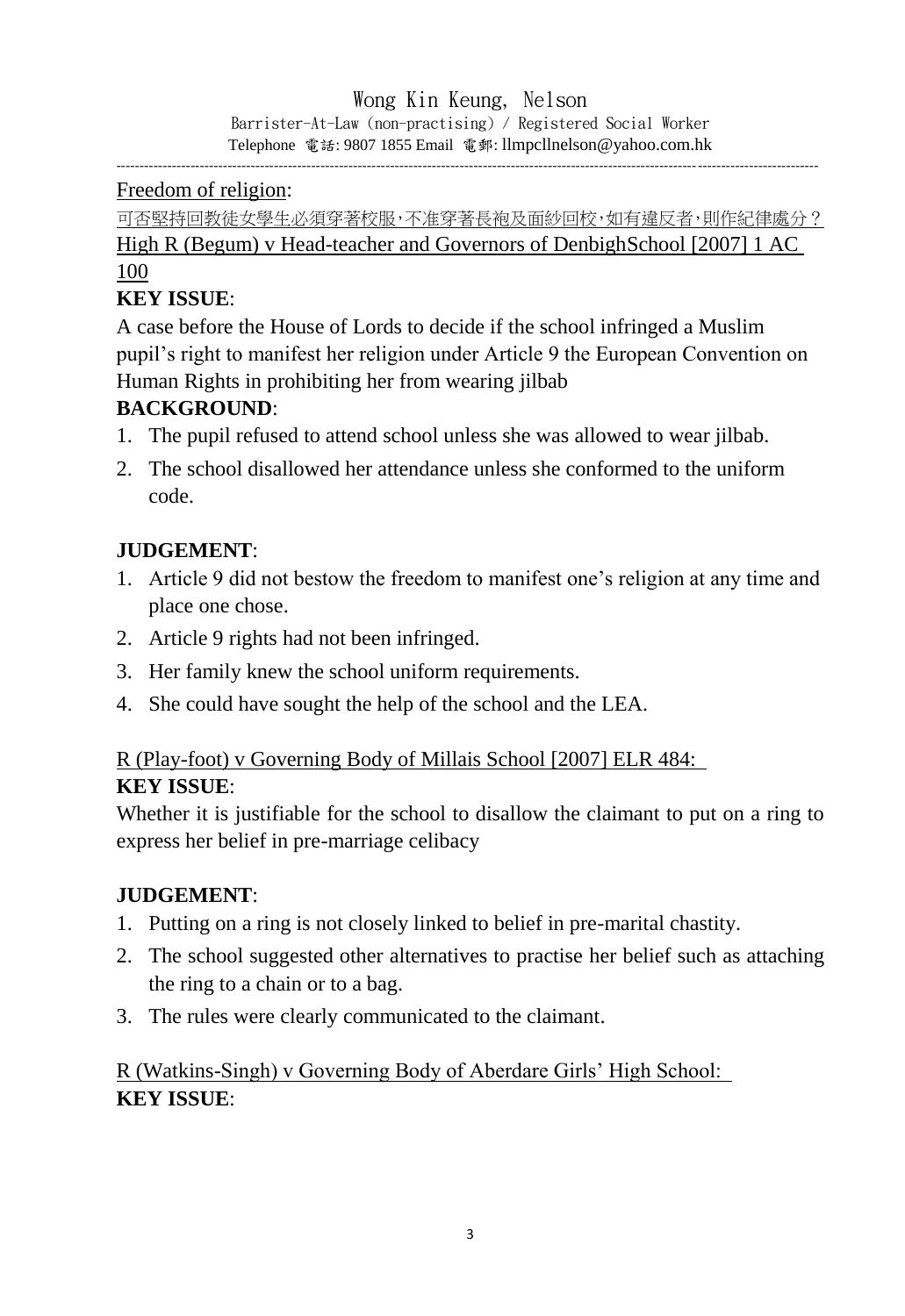#### Wong Kin Keung, Nelson Barrister-At-Law (non-practising) / Registered Social Worker Telephone 電話: 9807 1855 Email 電郵: llmpcllnelson@yahoo.com.hk

-------------------------------------------------------------------------------------------------------------------------------------------------------

### Freedom of religion:

可否堅持回教徒女學生必須穿著校服,不准穿著長袍及面紗回校,如有違反者,則作紀律處分? High R (Begum) v Head-teacher and Governors of DenbighSchool [2007] 1 AC 100

## **KEY ISSUE**:

A case before the House of Lords to decide if the school infringed a Muslim pupil's right to manifest her religion under Article 9 the European Convention on Human Rights in prohibiting her from wearing jilbab

### **BACKGROUND**:

- 1. The pupil refused to attend school unless she was allowed to wear jilbab.
- 2. The school disallowed her attendance unless she conformed to the uniform code.

### **JUDGEMENT**:

- 1. Article 9 did not bestow the freedom to manifest one's religion at any time and place one chose.
- 2. Article 9 rights had not been infringed.
- 3. Her family knew the school uniform requirements.
- 4. She could have sought the help of the school and the LEA.

# R (Play-foot) v Governing Body of Millais School [2007] ELR 484:

#### **KEY ISSUE**:

Whether it is justifiable for the school to disallow the claimant to put on a ring to express her belief in pre-marriage celibacy

#### **JUDGEMENT**:

- 1. Putting on a ring is not closely linked to belief in pre-marital chastity.
- 2. The school suggested other alternatives to practise her belief such as attaching the ring to a chain or to a bag.
- 3. The rules were clearly communicated to the claimant.

R (Watkins-Singh) v Governing Body of Aberdare Girls' High School: **KEY ISSUE**: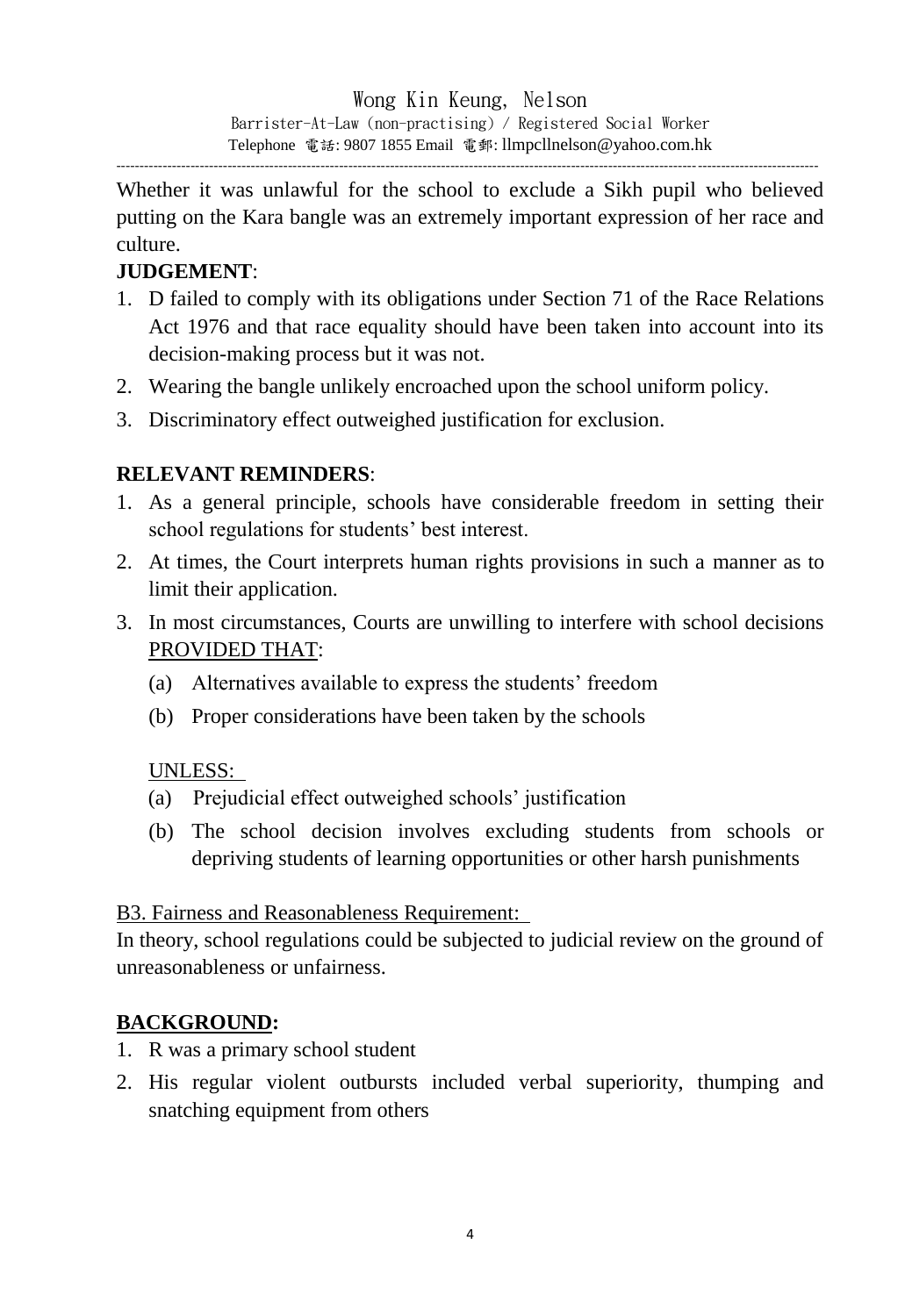Whether it was unlawful for the school to exclude a Sikh pupil who believed putting on the Kara bangle was an extremely important expression of her race and culture.

# **JUDGEMENT**:

- 1. D failed to comply with its obligations under Section 71 of the Race Relations Act 1976 and that race equality should have been taken into account into its decision-making process but it was not.
- 2. Wearing the bangle unlikely encroached upon the school uniform policy.
- 3. Discriminatory effect outweighed justification for exclusion.

## **RELEVANT REMINDERS**:

- 1. As a general principle, schools have considerable freedom in setting their school regulations for students' best interest.
- 2. At times, the Court interprets human rights provisions in such a manner as to limit their application.
- 3. In most circumstances, Courts are unwilling to interfere with school decisions PROVIDED THAT:
	- (a) Alternatives available to express the students' freedom
	- (b) Proper considerations have been taken by the schools

### UNLESS:

- (a) Prejudicial effect outweighed schools' justification
- (b) The school decision involves excluding students from schools or depriving students of learning opportunities or other harsh punishments

### B3. Fairness and Reasonableness Requirement:

In theory, school regulations could be subjected to judicial review on the ground of unreasonableness or unfairness.

# **BACKGROUND:**

- 1. R was a primary school student
- 2. His regular violent outbursts included verbal superiority, thumping and snatching equipment from others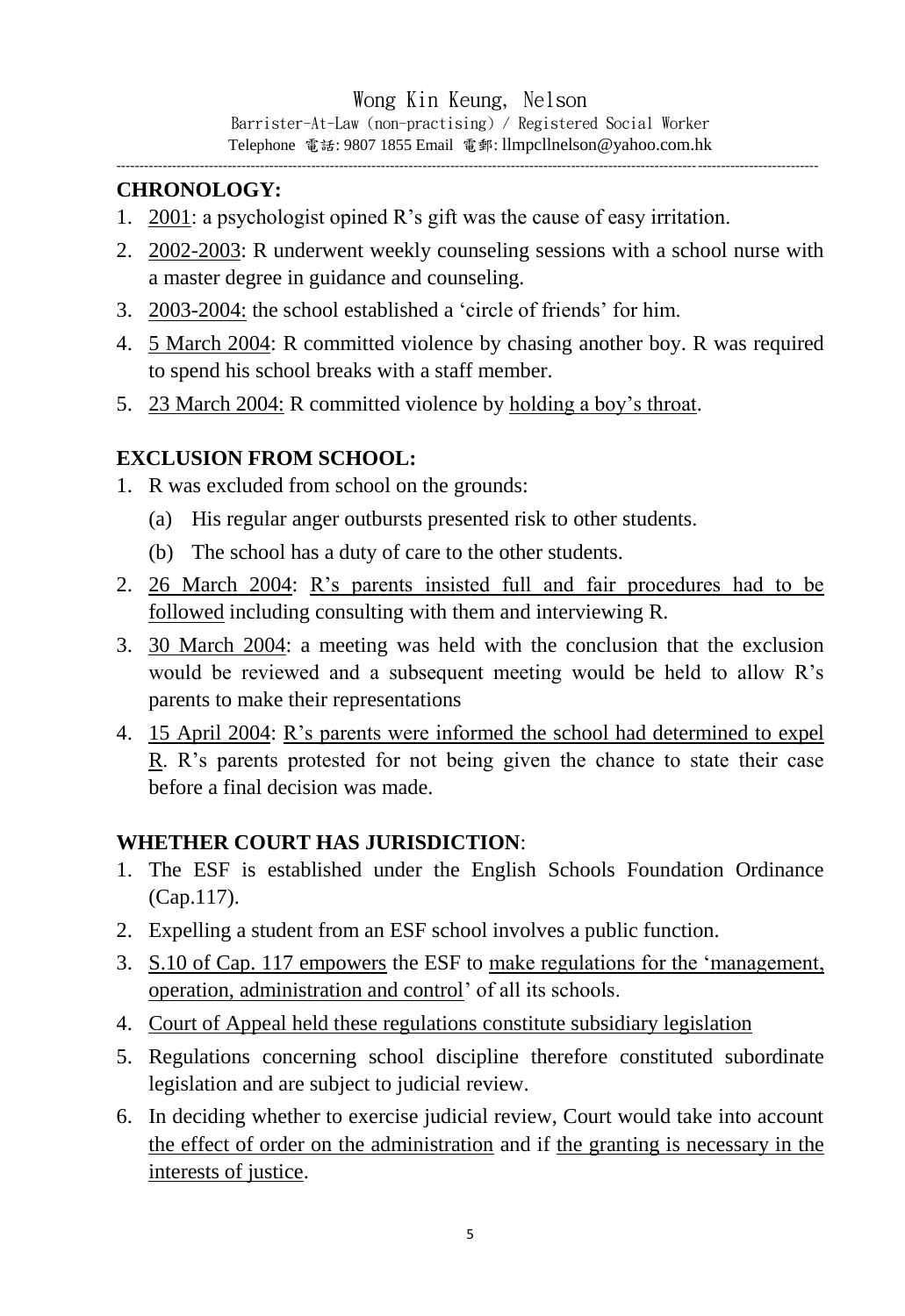Wong Kin Keung, Nelson Barrister-At-Law (non-practising) / Registered Social Worker Telephone 電話: 9807 1855 Email 電郵: llmpcllnelson@yahoo.com.hk

-------------------------------------------------------------------------------------------------------------------------------------------------------

## **CHRONOLOGY:**

- 1. 2001: a psychologist opined R's gift was the cause of easy irritation.
- 2. 2002-2003: R underwent weekly counseling sessions with a school nurse with a master degree in guidance and counseling.
- 3. 2003-2004: the school established a 'circle of friends' for him.
- 4. 5 March 2004: R committed violence by chasing another boy. R was required to spend his school breaks with a staff member.
- 5. 23 March 2004: R committed violence by holding a boy's throat.

### **EXCLUSION FROM SCHOOL:**

- 1. R was excluded from school on the grounds:
	- (a) His regular anger outbursts presented risk to other students.
	- (b) The school has a duty of care to the other students.
- 2. 26 March 2004: R's parents insisted full and fair procedures had to be followed including consulting with them and interviewing R.
- 3. 30 March 2004: a meeting was held with the conclusion that the exclusion would be reviewed and a subsequent meeting would be held to allow R's parents to make their representations
- 4. 15 April 2004: R's parents were informed the school had determined to expel  $R$ . R's parents protested for not being given the chance to state their case before a final decision was made.

#### **WHETHER COURT HAS JURISDICTION**:

- 1. The ESF is established under the English Schools Foundation Ordinance (Cap.117).
- 2. Expelling a student from an ESF school involves a public function.
- 3. S.10 of Cap. 117 empowers the ESF to make regulations for the 'management, operation, administration and control' of all its schools.
- 4. Court of Appeal held these regulations constitute subsidiary legislation
- 5. Regulations concerning school discipline therefore constituted subordinate legislation and are subject to judicial review.
- 6. In deciding whether to exercise judicial review, Court would take into account the effect of order on the administration and if the granting is necessary in the interests of justice.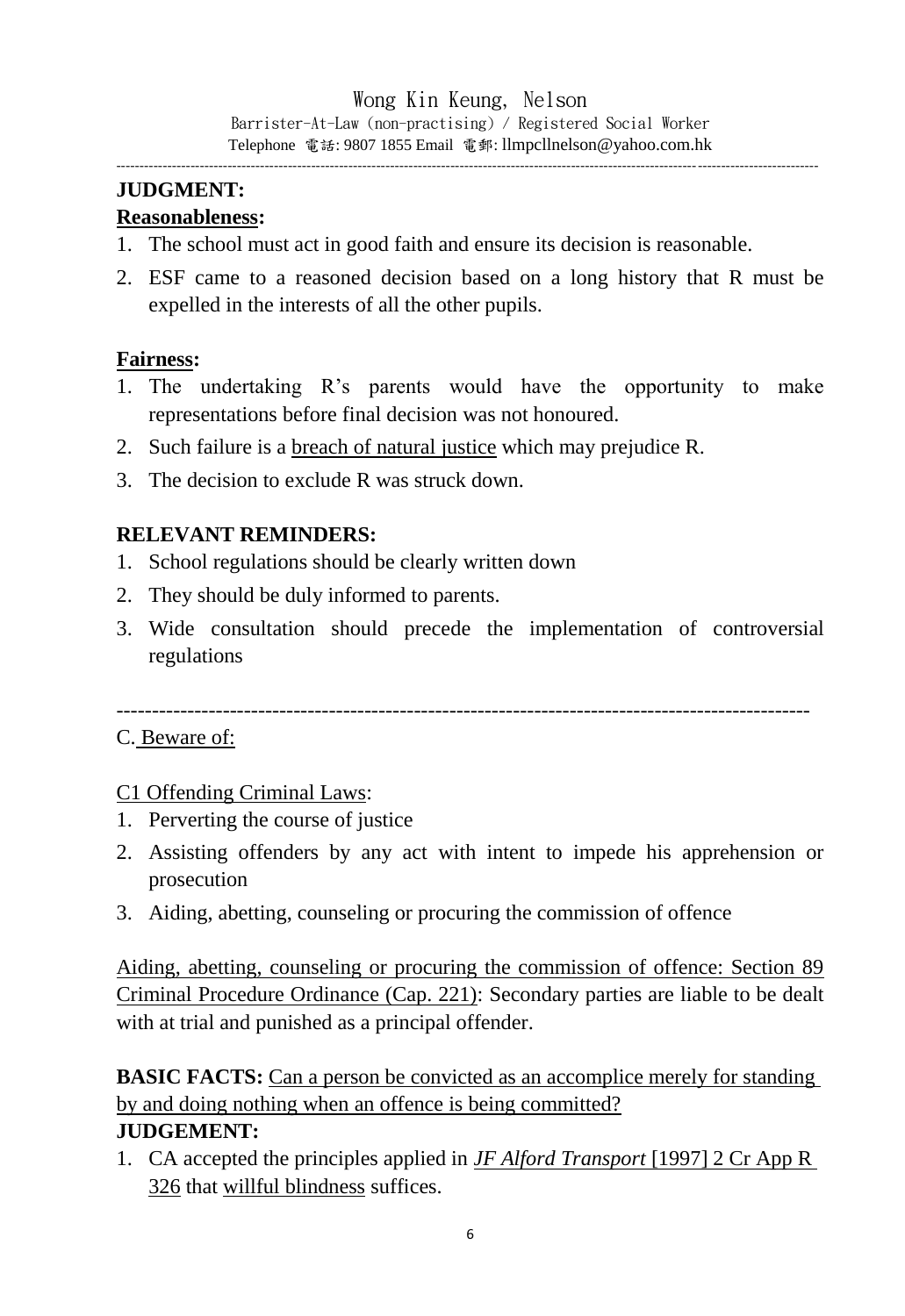### **JUDGMENT:**

#### **Reasonableness:**

- 1. The school must act in good faith and ensure its decision is reasonable.
- 2. ESF came to a reasoned decision based on a long history that R must be expelled in the interests of all the other pupils.

#### **Fairness:**

- 1. The undertaking R's parents would have the opportunity to make representations before final decision was not honoured.
- 2. Such failure is a breach of natural justice which may prejudice R.
- 3. The decision to exclude R was struck down.

#### **RELEVANT REMINDERS:**

- 1. School regulations should be clearly written down
- 2. They should be duly informed to parents.
- 3. Wide consultation should precede the implementation of controversial regulations

--------------------------------------------------------------------------------------------------

#### C. Beware of:

#### C1 Offending Criminal Laws:

- 1. Perverting the course of justice
- 2. Assisting offenders by any act with intent to impede his apprehension or prosecution
- 3. Aiding, abetting, counseling or procuring the commission of offence

Aiding, abetting, counseling or procuring the commission of offence: Section 89 Criminal Procedure Ordinance (Cap. 221): Secondary parties are liable to be dealt with at trial and punished as a principal offender.

**BASIC FACTS:** Can a person be convicted as an accomplice merely for standing by and doing nothing when an offence is being committed?

#### **JUDGEMENT:**

1. CA accepted the principles applied in *JF Alford Transport* [1997] 2 Cr App R 326 that willful blindness suffices.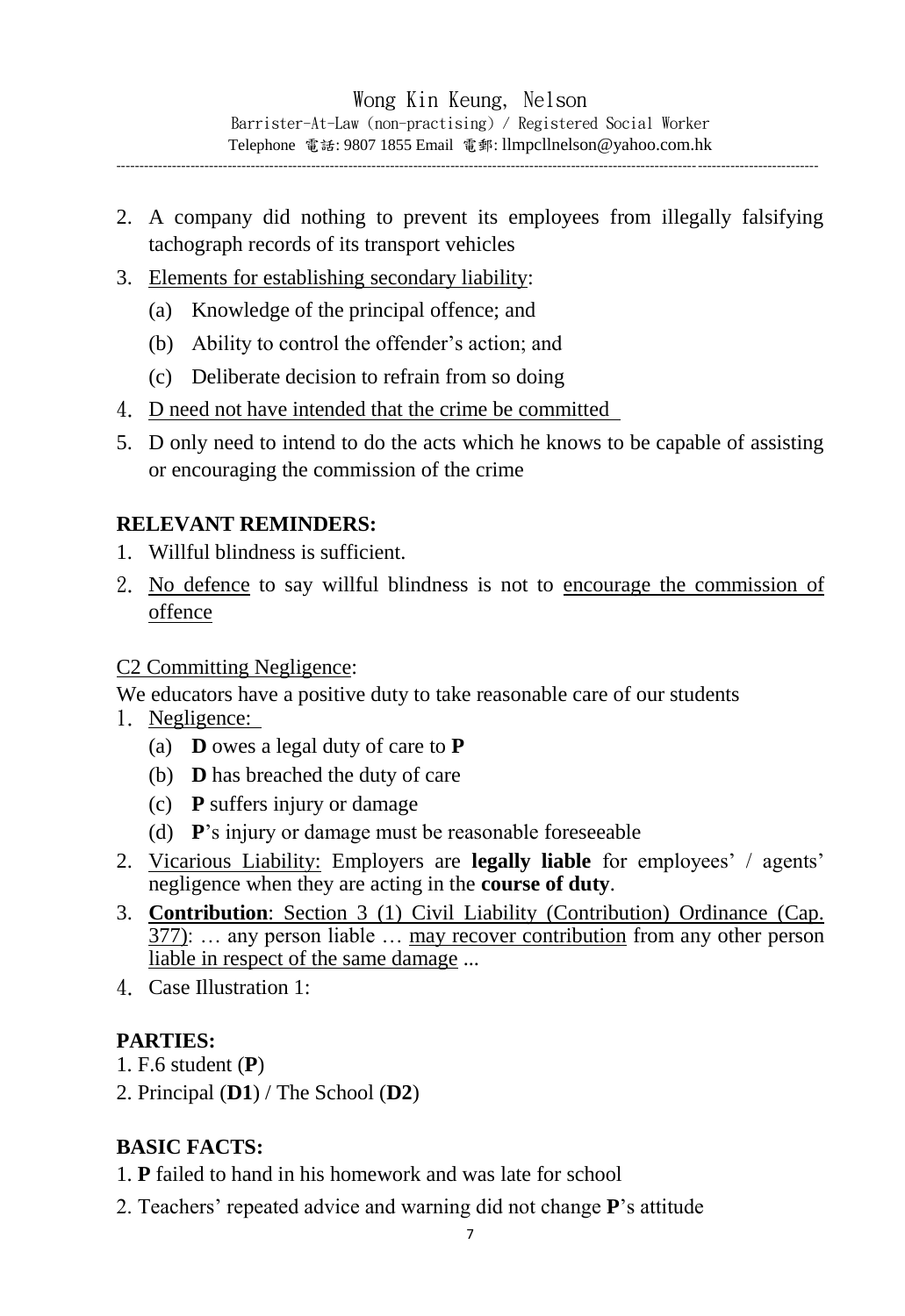2. A company did nothing to prevent its employees from illegally falsifying tachograph records of its transport vehicles

- 3. Elements for establishing secondary liability:
	- (a) Knowledge of the principal offence; and
	- (b) Ability to control the offender's action; and
	- (c) Deliberate decision to refrain from so doing
- 4. D need not have intended that the crime be committed
- 5. D only need to intend to do the acts which he knows to be capable of assisting or encouraging the commission of the crime

### **RELEVANT REMINDERS:**

- 1. Willful blindness is sufficient.
- 2. No defence to say willful blindness is not to encourage the commission of offence

#### C2 Committing Negligence:

We educators have a positive duty to take reasonable care of our students

- 1. Negligence:
	- (a) **D** owes a legal duty of care to **P**
	- (b) **D** has breached the duty of care
	- (c) **P** suffers injury or damage
	- (d) **P**'s injury or damage must be reasonable foreseeable
- 2. Vicarious Liability: Employers are **legally liable** for employees' / agents' negligence when they are acting in the **course of duty**.
- 3. **Contribution**: Section 3 (1) Civil Liability (Contribution) Ordinance (Cap. 377): … any person liable … may recover contribution from any other person liable in respect of the same damage ...
- 4. Case Illustration 1:

### **PARTIES:**

- 1. F.6 student (**P**)
- 2. Principal (**D1**) / The School (**D2**)

# **BASIC FACTS:**

- 1. **P** failed to hand in his homework and was late for school
- 2. Teachers' repeated advice and warning did not change **P**'s attitude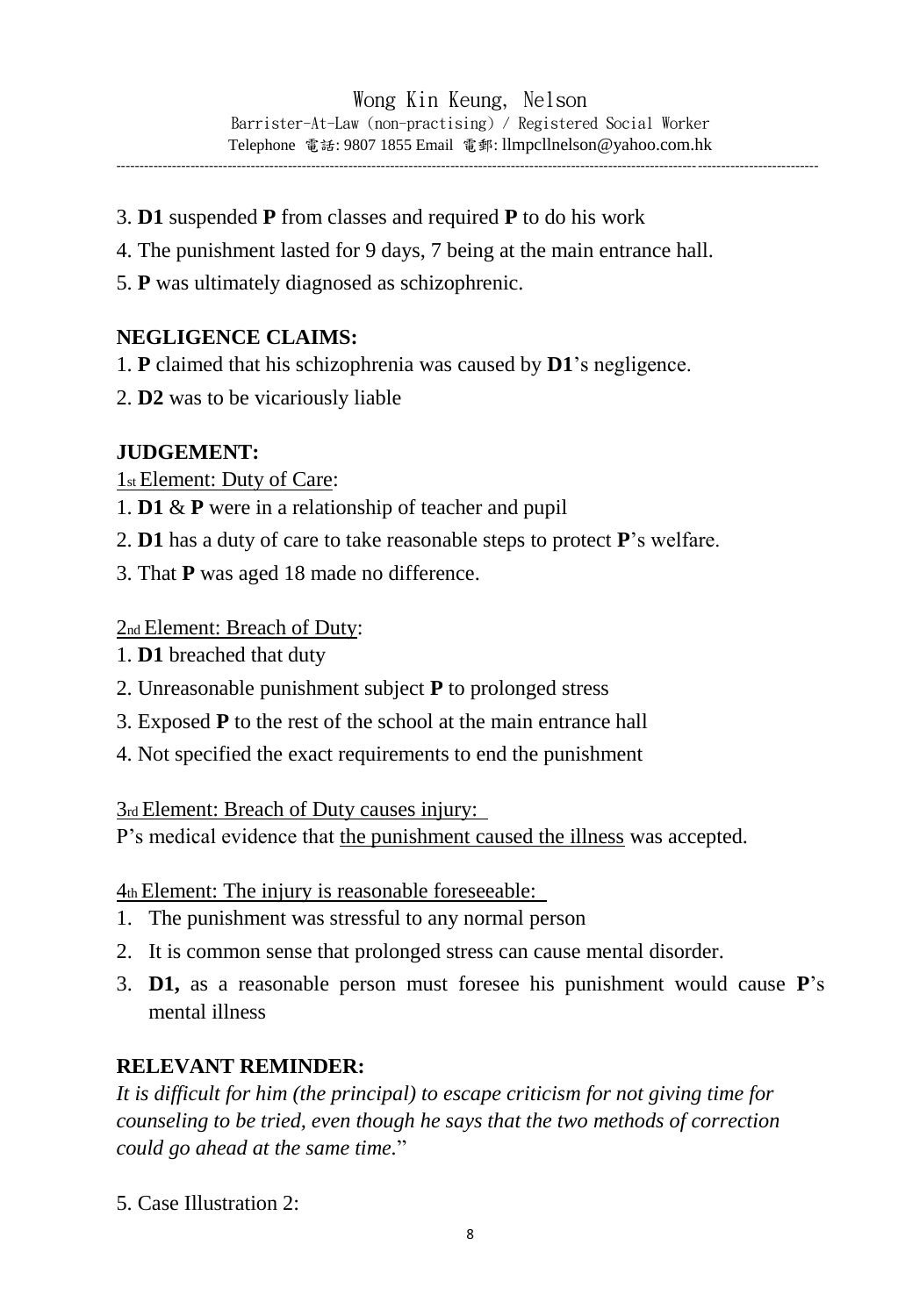- 3. **D1** suspended **P** from classes and required **P** to do his work
- 4. The punishment lasted for 9 days, 7 being at the main entrance hall.
- 5. **P** was ultimately diagnosed as schizophrenic.

#### **NEGLIGENCE CLAIMS:**

- 1. **P** claimed that his schizophrenia was caused by **D1**'s negligence.
- 2. **D2** was to be vicariously liable

#### **JUDGEMENT:**

1st Element: Duty of Care:

- 1. **D1** & **P** were in a relationship of teacher and pupil
- 2. **D1** has a duty of care to take reasonable steps to protect **P**'s welfare.
- 3. That **P** was aged 18 made no difference.

#### 2nd Element: Breach of Duty:

- 1. **D1** breached that duty
- 2. Unreasonable punishment subject **P** to prolonged stress
- 3. Exposed **P** to the rest of the school at the main entrance hall
- 4. Not specified the exact requirements to end the punishment

3rd Element: Breach of Duty causes injury:

P's medical evidence that the punishment caused the illness was accepted.

4th Element: The injury is reasonable foreseeable:

- 1. The punishment was stressful to any normal person
- 2. It is common sense that prolonged stress can cause mental disorder.
- 3. **D1,** as a reasonable person must foresee his punishment would cause **P**'s mental illness

#### **RELEVANT REMINDER:**

*It is difficult for him (the principal) to escape criticism for not giving time for counseling to be tried, even though he says that the two methods of correction could go ahead at the same time.*"

5. Case Illustration 2: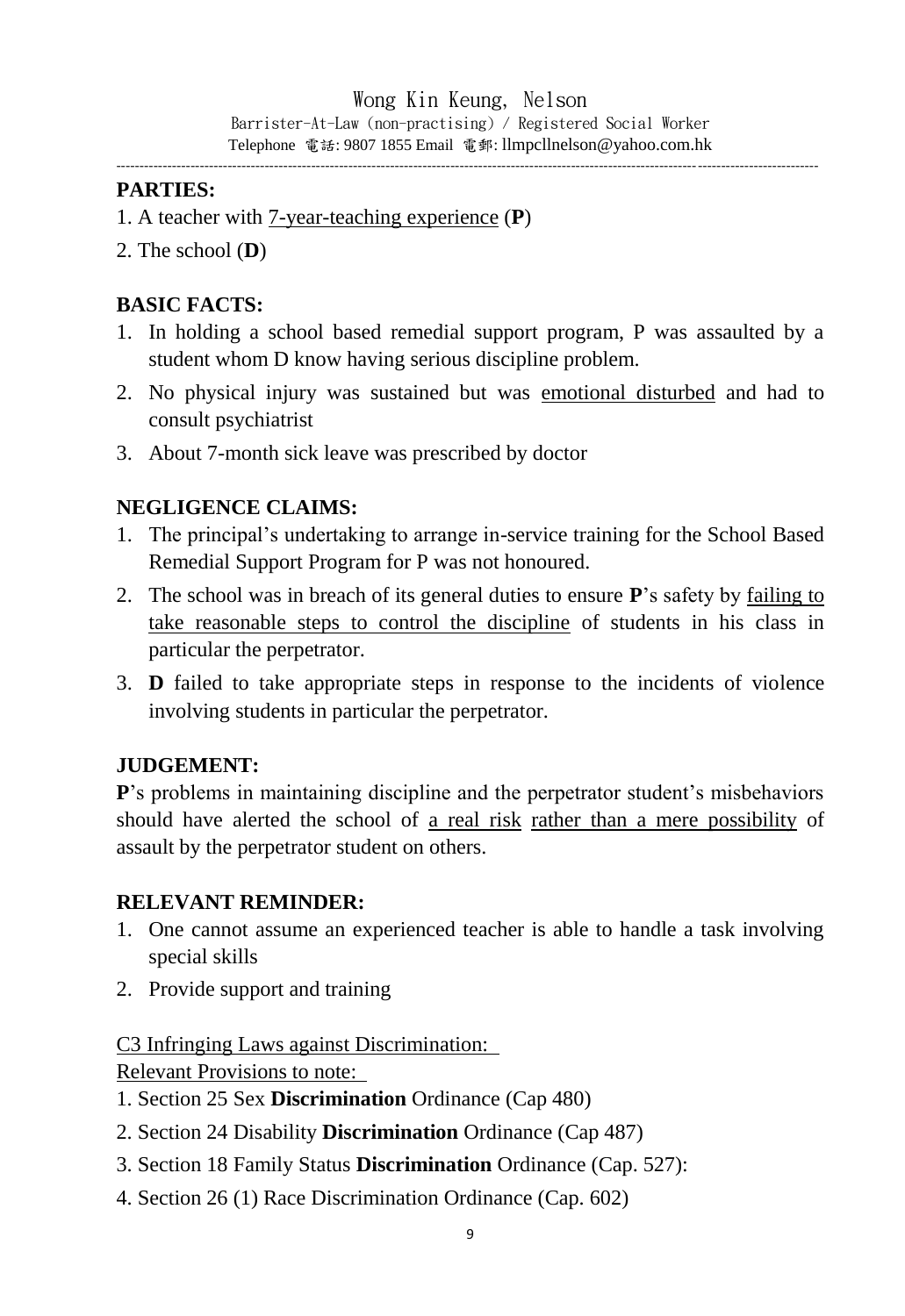#### **PARTIES:**

- 1. A teacher with 7-year-teaching experience (**P**)
- 2. The school (**D**)

### **BASIC FACTS:**

- 1. In holding a school based remedial support program, P was assaulted by a student whom D know having serious discipline problem.
- 2. No physical injury was sustained but was emotional disturbed and had to consult psychiatrist
- 3. About 7-month sick leave was prescribed by doctor

### **NEGLIGENCE CLAIMS:**

- 1. The principal's undertaking to arrange in-service training for the School Based Remedial Support Program for P was not honoured.
- 2. The school was in breach of its general duties to ensure **P**'s safety by failing to take reasonable steps to control the discipline of students in his class in particular the perpetrator.
- 3. **D** failed to take appropriate steps in response to the incidents of violence involving students in particular the perpetrator.

### **JUDGEMENT:**

**P**'s problems in maintaining discipline and the perpetrator student's misbehaviors should have alerted the school of a real risk rather than a mere possibility of assault by the perpetrator student on others.

#### **RELEVANT REMINDER:**

- 1. One cannot assume an experienced teacher is able to handle a task involving special skills
- 2. Provide support and training

C3 Infringing Laws against Discrimination:

Relevant Provisions to note:

- 1. Section 25 Sex **Discrimination** Ordinance (Cap 480)
- 2. Section 24 Disability **Discrimination** Ordinance (Cap 487)
- 3. Section 18 Family Status **Discrimination** Ordinance (Cap. 527):
- 4. Section 26 (1) Race Discrimination Ordinance (Cap. 602)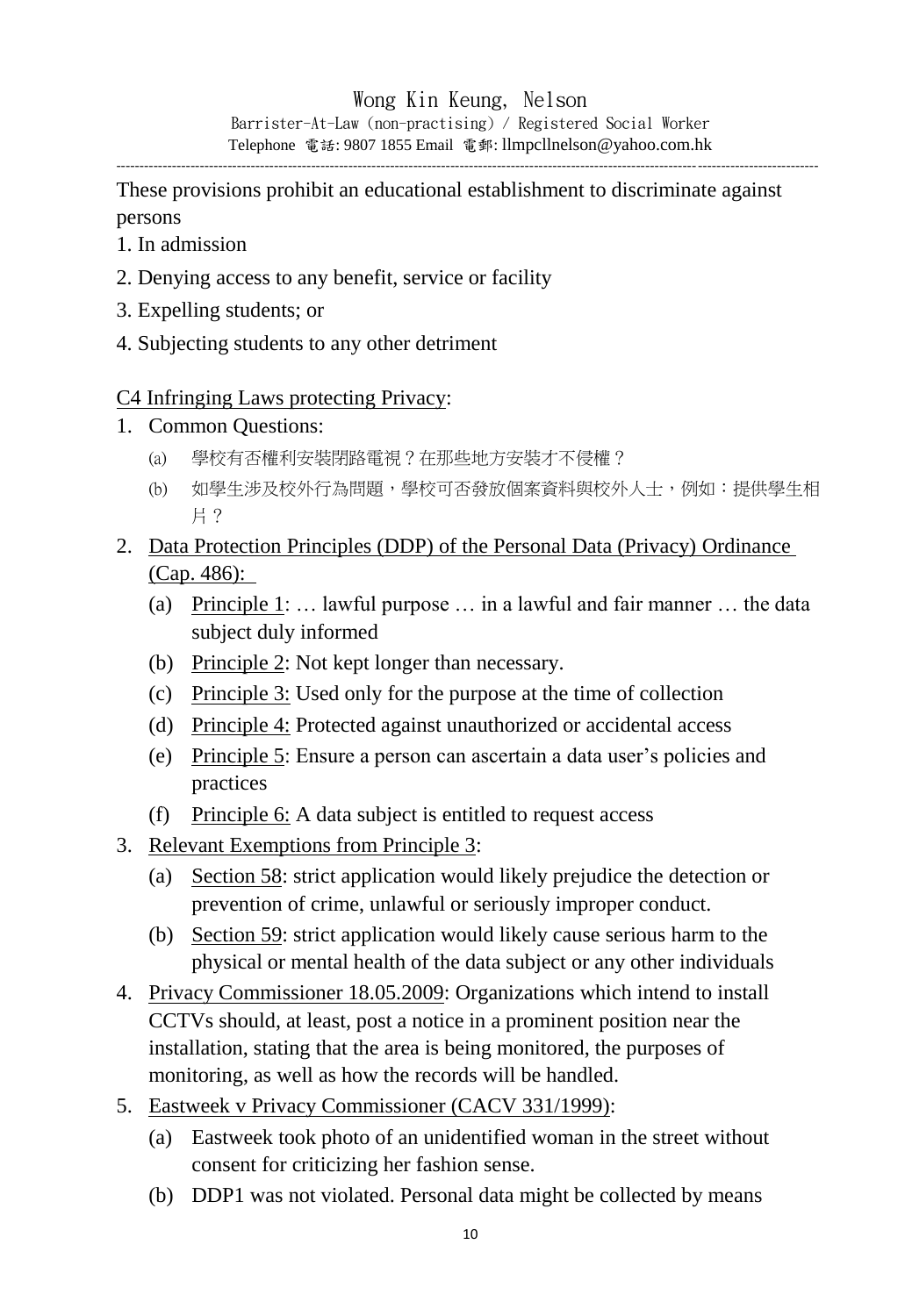------------------------------------------------------------------------------------------------------------------------------------------------------- These provisions prohibit an educational establishment to discriminate against

persons

- 1. In admission
- 2. Denying access to any benefit, service or facility
- 3. Expelling students; or
- 4. Subjecting students to any other detriment

### C4 Infringing Laws protecting Privacy:

- 1. Common Questions:
	- (a) 學校有否權利安裝閉路電視?在那些地方安裝才不侵權?
	- (b) 如學生涉及校外行為問題,學校可否發放個案資料與校外人士,例如:提供學生相 片?
- 2. Data Protection Principles (DDP) of the Personal Data (Privacy) Ordinance (Cap. 486):
	- (a) Principle 1: … lawful purpose … in a lawful and fair manner … the data subject duly informed
	- (b) Principle 2: Not kept longer than necessary.
	- (c) Principle 3: Used only for the purpose at the time of collection
	- (d) Principle 4: Protected against unauthorized or accidental access
	- (e) Principle 5: Ensure a person can ascertain a data user's policies and practices
	- (f) Principle 6: A data subject is entitled to request access
- 3. Relevant Exemptions from Principle 3:
	- (a) Section 58: strict application would likely prejudice the detection or prevention of crime, unlawful or seriously improper conduct.
	- (b) Section 59: strict application would likely cause serious harm to the physical or mental health of the data subject or any other individuals
- 4. Privacy Commissioner 18.05.2009: Organizations which intend to install CCTVs should, at least, post a notice in a prominent position near the installation, stating that the area is being monitored, the purposes of monitoring, as well as how the records will be handled.
- 5. Eastweek v Privacy Commissioner (CACV 331/1999):
	- (a) Eastweek took photo of an unidentified woman in the street without consent for criticizing her fashion sense.
	- (b) DDP1 was not violated. Personal data might be collected by means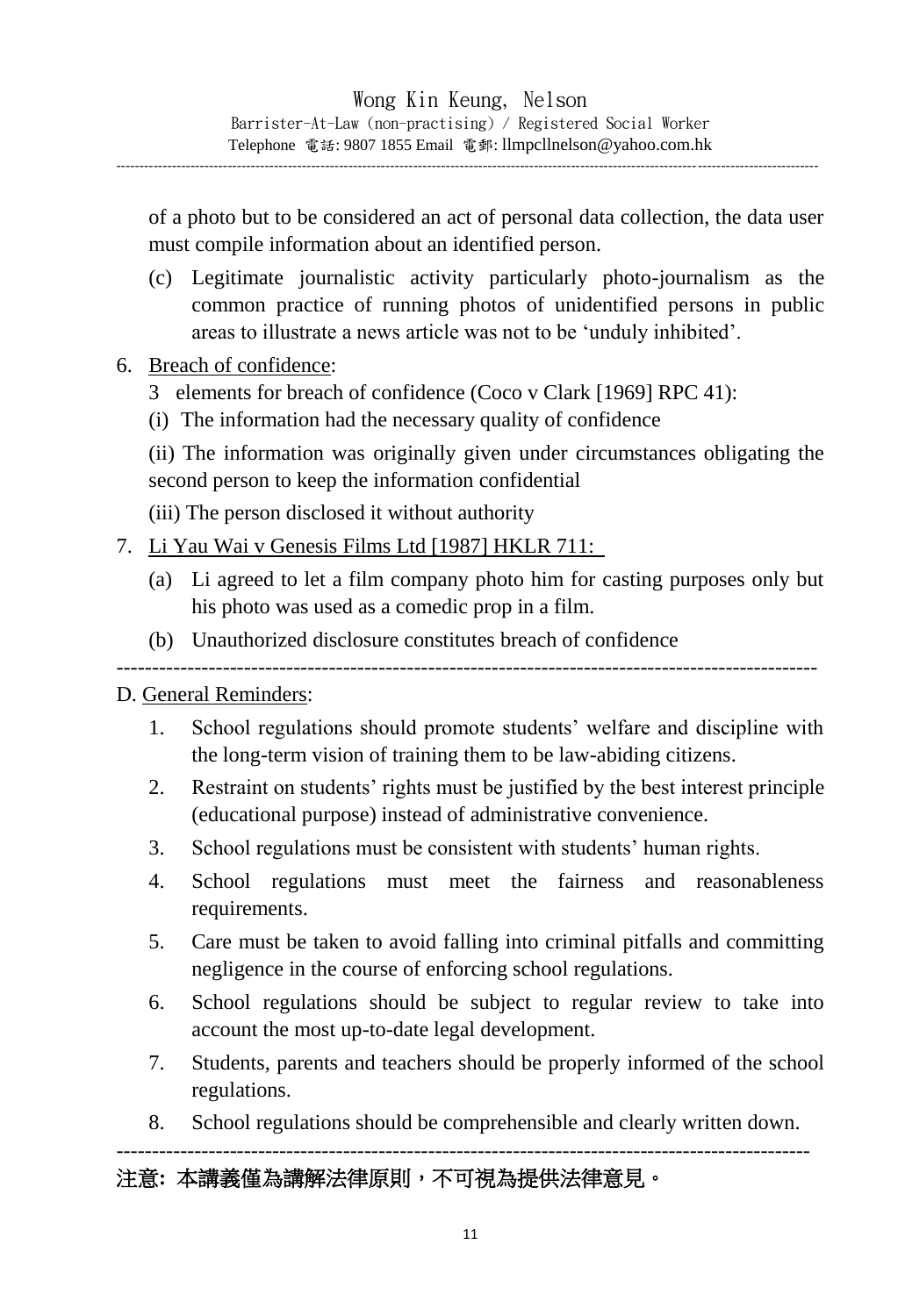of a photo but to be considered an act of personal data collection, the data user must compile information about an identified person.

- (c) Legitimate journalistic activity particularly photo-journalism as the common practice of running photos of unidentified persons in public areas to illustrate a news article was not to be 'unduly inhibited'.
- 6. Breach of confidence:
	- 3 elements for breach of confidence (Coco v Clark [1969] RPC 41):
	- (i) The information had the necessary quality of confidence
	- (ii) The information was originally given under circumstances obligating the second person to keep the information confidential
	- (iii) The person disclosed it without authority
- 7. Li Yau Wai v Genesis Films Ltd [1987] HKLR 711:
	- (a) Li agreed to let a film company photo him for casting purposes only but his photo was used as a comedic prop in a film.
	- (b) Unauthorized disclosure constitutes breach of confidence

---------------------------------------------------------------------------------------------------

#### D. General Reminders:

- 1. School regulations should promote students' welfare and discipline with the long-term vision of training them to be law-abiding citizens.
- 2. Restraint on students' rights must be justified by the best interest principle (educational purpose) instead of administrative convenience.
- 3. School regulations must be consistent with students' human rights.
- 4. School regulations must meet the fairness and reasonableness requirements.
- 5. Care must be taken to avoid falling into criminal pitfalls and committing negligence in the course of enforcing school regulations.
- 6. School regulations should be subject to regular review to take into account the most up-to-date legal development.
- 7. Students, parents and teachers should be properly informed of the school regulations.

--------------------------------------------------------------------------------------------------

8. School regulations should be comprehensible and clearly written down.

### 注意**:** 本講義僅為講解法律原則,不可視為提供法律意見。